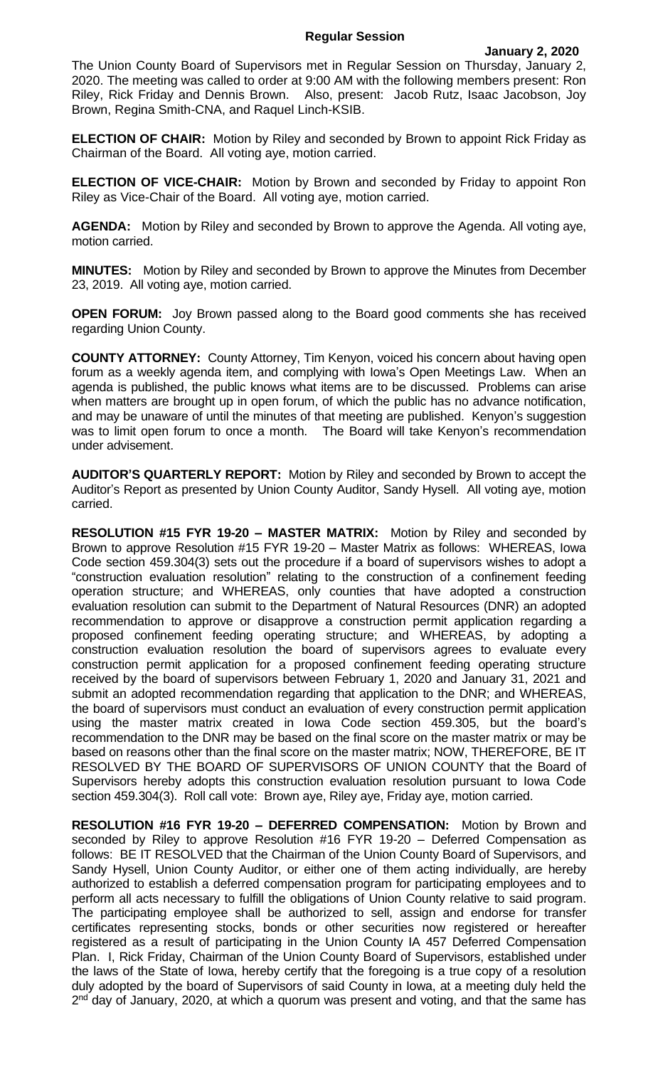## **Regular Session**

The Union County Board of Supervisors met in Regular Session on Thursday, January 2, 2020. The meeting was called to order at 9:00 AM with the following members present: Ron Riley, Rick Friday and Dennis Brown. Also, present: Jacob Rutz, Isaac Jacobson, Joy Brown, Regina Smith-CNA, and Raquel Linch-KSIB.

**ELECTION OF CHAIR:** Motion by Riley and seconded by Brown to appoint Rick Friday as Chairman of the Board. All voting aye, motion carried.

**ELECTION OF VICE-CHAIR:** Motion by Brown and seconded by Friday to appoint Ron Riley as Vice-Chair of the Board. All voting aye, motion carried.

**AGENDA:** Motion by Riley and seconded by Brown to approve the Agenda. All voting aye, motion carried.

**MINUTES:** Motion by Riley and seconded by Brown to approve the Minutes from December 23, 2019. All voting aye, motion carried.

**OPEN FORUM:** Joy Brown passed along to the Board good comments she has received regarding Union County.

**COUNTY ATTORNEY:** County Attorney, Tim Kenyon, voiced his concern about having open forum as a weekly agenda item, and complying with Iowa's Open Meetings Law. When an agenda is published, the public knows what items are to be discussed. Problems can arise when matters are brought up in open forum, of which the public has no advance notification, and may be unaware of until the minutes of that meeting are published. Kenyon's suggestion was to limit open forum to once a month. The Board will take Kenyon's recommendation under advisement.

**AUDITOR'S QUARTERLY REPORT:** Motion by Riley and seconded by Brown to accept the Auditor's Report as presented by Union County Auditor, Sandy Hysell. All voting aye, motion carried.

**RESOLUTION #15 FYR 19-20 – MASTER MATRIX:** Motion by Riley and seconded by Brown to approve Resolution #15 FYR 19-20 – Master Matrix as follows: WHEREAS, Iowa Code section 459.304(3) sets out the procedure if a board of supervisors wishes to adopt a "construction evaluation resolution" relating to the construction of a confinement feeding operation structure; and WHEREAS, only counties that have adopted a construction evaluation resolution can submit to the Department of Natural Resources (DNR) an adopted recommendation to approve or disapprove a construction permit application regarding a proposed confinement feeding operating structure; and WHEREAS, by adopting a construction evaluation resolution the board of supervisors agrees to evaluate every construction permit application for a proposed confinement feeding operating structure received by the board of supervisors between February 1, 2020 and January 31, 2021 and submit an adopted recommendation regarding that application to the DNR; and WHEREAS, the board of supervisors must conduct an evaluation of every construction permit application using the master matrix created in Iowa Code section 459.305, but the board's recommendation to the DNR may be based on the final score on the master matrix or may be based on reasons other than the final score on the master matrix; NOW, THEREFORE, BE IT RESOLVED BY THE BOARD OF SUPERVISORS OF UNION COUNTY that the Board of Supervisors hereby adopts this construction evaluation resolution pursuant to Iowa Code section 459.304(3). Roll call vote: Brown aye, Riley aye, Friday aye, motion carried.

**RESOLUTION #16 FYR 19-20 – DEFERRED COMPENSATION:** Motion by Brown and seconded by Riley to approve Resolution #16 FYR 19-20 – Deferred Compensation as follows: BE IT RESOLVED that the Chairman of the Union County Board of Supervisors, and Sandy Hysell, Union County Auditor, or either one of them acting individually, are hereby authorized to establish a deferred compensation program for participating employees and to perform all acts necessary to fulfill the obligations of Union County relative to said program. The participating employee shall be authorized to sell, assign and endorse for transfer certificates representing stocks, bonds or other securities now registered or hereafter registered as a result of participating in the Union County IA 457 Deferred Compensation Plan. I, Rick Friday, Chairman of the Union County Board of Supervisors, established under the laws of the State of Iowa, hereby certify that the foregoing is a true copy of a resolution duly adopted by the board of Supervisors of said County in Iowa, at a meeting duly held the 2<sup>nd</sup> day of January, 2020, at which a quorum was present and voting, and that the same has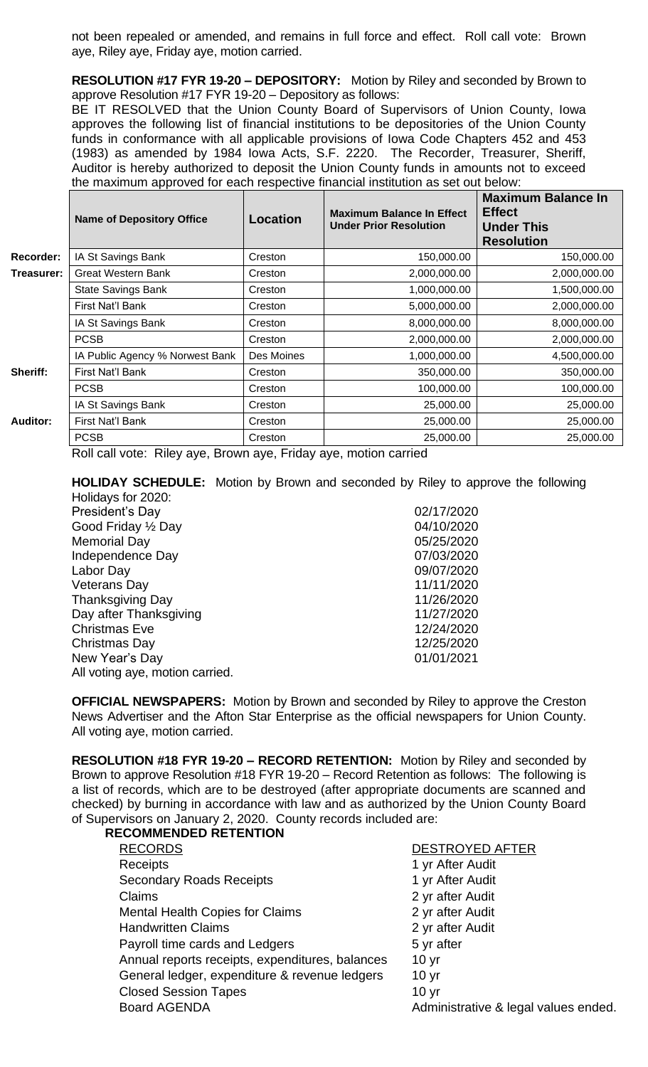not been repealed or amended, and remains in full force and effect. Roll call vote: Brown aye, Riley aye, Friday aye, motion carried.

**RESOLUTION #17 FYR 19-20 – DEPOSITORY:** Motion by Riley and seconded by Brown to approve Resolution #17 FYR 19-20 – Depository as follows:

BE IT RESOLVED that the Union County Board of Supervisors of Union County, Iowa approves the following list of financial institutions to be depositories of the Union County funds in conformance with all applicable provisions of Iowa Code Chapters 452 and 453 (1983) as amended by 1984 Iowa Acts, S.F. 2220. The Recorder, Treasurer, Sheriff, Auditor is hereby authorized to deposit the Union County funds in amounts not to exceed the maximum approved for each respective financial institution as set out below:

|                 | <b>Name of Depository Office</b> | Location     | <b>Maximum Balance In Effect</b><br><b>Under Prior Resolution</b> | <b>Maximum Balance In</b><br><b>Effect</b><br><b>Under This</b><br><b>Resolution</b> |
|-----------------|----------------------------------|--------------|-------------------------------------------------------------------|--------------------------------------------------------------------------------------|
| Recorder:       | IA St Savings Bank               | Creston      | 150,000.00                                                        | 150,000.00                                                                           |
| Treasurer:      | <b>Great Western Bank</b>        | Creston      | 2,000,000.00                                                      | 2,000,000.00                                                                         |
|                 | <b>State Savings Bank</b>        | Creston      | 1,000,000.00                                                      | 1,500,000.00                                                                         |
|                 | First Nat'l Bank                 | Creston      | 5,000,000.00                                                      | 2,000,000.00                                                                         |
|                 | IA St Savings Bank               | Creston      | 8,000,000.00                                                      | 8,000,000.00                                                                         |
|                 | <b>PCSB</b>                      | Creston      | 2,000,000.00                                                      | 2,000,000.00                                                                         |
|                 | IA Public Agency % Norwest Bank  | Des Moines   | 1,000,000.00                                                      | 4,500,000.00                                                                         |
| Sheriff:        | First Nat'l Bank                 | Creston      | 350,000.00                                                        | 350,000.00                                                                           |
|                 | <b>PCSB</b>                      | Creston      | 100,000.00                                                        | 100,000.00                                                                           |
|                 | IA St Savings Bank               | Creston      | 25,000.00                                                         | 25,000.00                                                                            |
| <b>Auditor:</b> | First Nat'l Bank                 | Creston      | 25,000.00                                                         | 25,000.00                                                                            |
|                 | <b>PCSB</b><br>- -<br>-          | Creston<br>_ | 25,000.00                                                         | 25,000.00                                                                            |

Roll call vote: Riley aye, Brown aye, Friday aye, motion carried

**HOLIDAY SCHEDULE:** Motion by Brown and seconded by Riley to approve the following Holidays for 2020:

| TIUIIUAYS IUI ZUZU.             |            |
|---------------------------------|------------|
| President's Day                 | 02/17/2020 |
| Good Friday 1/2 Day             | 04/10/2020 |
| <b>Memorial Day</b>             | 05/25/2020 |
| Independence Day                | 07/03/2020 |
| Labor Day                       | 09/07/2020 |
| <b>Veterans Day</b>             | 11/11/2020 |
| <b>Thanksgiving Day</b>         | 11/26/2020 |
| Day after Thanksgiving          | 11/27/2020 |
| <b>Christmas Eve</b>            | 12/24/2020 |
| Christmas Day                   | 12/25/2020 |
| New Year's Day                  | 01/01/2021 |
| All voting aye, motion carried. |            |
|                                 |            |

**OFFICIAL NEWSPAPERS:** Motion by Brown and seconded by Riley to approve the Creston News Advertiser and the Afton Star Enterprise as the official newspapers for Union County. All voting aye, motion carried.

**RESOLUTION #18 FYR 19-20 – RECORD RETENTION:** Motion by Riley and seconded by Brown to approve Resolution #18 FYR 19-20 – Record Retention as follows: The following is a list of records, which are to be destroyed (after appropriate documents are scanned and checked) by burning in accordance with law and as authorized by the Union County Board of Supervisors on January 2, 2020. County records included are: **RECOMMENDED RETENTION**

| <b>RECORDS</b>                                  | <b>DESTROYED AFTER</b>               |
|-------------------------------------------------|--------------------------------------|
| <b>Receipts</b>                                 | 1 yr After Audit                     |
| <b>Secondary Roads Receipts</b>                 | 1 yr After Audit                     |
| Claims                                          | 2 yr after Audit                     |
| <b>Mental Health Copies for Claims</b>          | 2 yr after Audit                     |
| <b>Handwritten Claims</b>                       | 2 yr after Audit                     |
| Payroll time cards and Ledgers                  | 5 yr after                           |
| Annual reports receipts, expenditures, balances | 10 <sub>yr</sub>                     |
| General ledger, expenditure & revenue ledgers   | 10 <sub>yr</sub>                     |
| <b>Closed Session Tapes</b>                     | 10 <sub>yr</sub>                     |
| <b>Board AGENDA</b>                             | Administrative & legal values ended. |
|                                                 |                                      |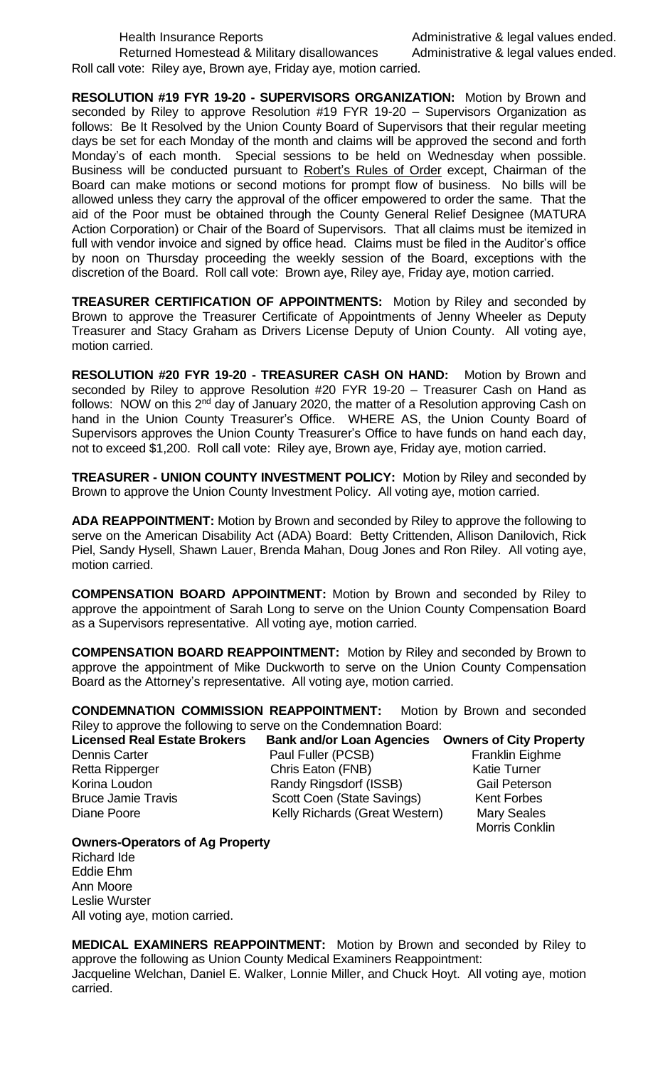Returned Homestead & Military disallowances Administrative & legal values ended. Roll call vote: Riley aye, Brown aye, Friday aye, motion carried.

**RESOLUTION #19 FYR 19-20 - SUPERVISORS ORGANIZATION:** Motion by Brown and seconded by Riley to approve Resolution #19 FYR 19-20 – Supervisors Organization as follows: Be It Resolved by the Union County Board of Supervisors that their regular meeting days be set for each Monday of the month and claims will be approved the second and forth Monday's of each month. Special sessions to be held on Wednesday when possible. Business will be conducted pursuant to Robert's Rules of Order except, Chairman of the Board can make motions or second motions for prompt flow of business. No bills will be allowed unless they carry the approval of the officer empowered to order the same. That the aid of the Poor must be obtained through the County General Relief Designee (MATURA Action Corporation) or Chair of the Board of Supervisors. That all claims must be itemized in full with vendor invoice and signed by office head. Claims must be filed in the Auditor's office by noon on Thursday proceeding the weekly session of the Board, exceptions with the discretion of the Board. Roll call vote: Brown aye, Riley aye, Friday aye, motion carried.

**TREASURER CERTIFICATION OF APPOINTMENTS:** Motion by Riley and seconded by Brown to approve the Treasurer Certificate of Appointments of Jenny Wheeler as Deputy Treasurer and Stacy Graham as Drivers License Deputy of Union County. All voting aye, motion carried.

**RESOLUTION #20 FYR 19-20 - TREASURER CASH ON HAND:** Motion by Brown and seconded by Riley to approve Resolution #20 FYR 19-20 – Treasurer Cash on Hand as follows: NOW on this 2<sup>nd</sup> day of January 2020, the matter of a Resolution approving Cash on hand in the Union County Treasurer's Office. WHERE AS, the Union County Board of Supervisors approves the Union County Treasurer's Office to have funds on hand each day, not to exceed \$1,200. Roll call vote: Riley aye, Brown aye, Friday aye, motion carried.

**TREASURER - UNION COUNTY INVESTMENT POLICY:** Motion by Riley and seconded by Brown to approve the Union County Investment Policy. All voting aye, motion carried.

**ADA REAPPOINTMENT:** Motion by Brown and seconded by Riley to approve the following to serve on the American Disability Act (ADA) Board: Betty Crittenden, Allison Danilovich, Rick Piel, Sandy Hysell, Shawn Lauer, Brenda Mahan, Doug Jones and Ron Riley. All voting aye, motion carried.

**COMPENSATION BOARD APPOINTMENT:** Motion by Brown and seconded by Riley to approve the appointment of Sarah Long to serve on the Union County Compensation Board as a Supervisors representative. All voting aye, motion carried.

**COMPENSATION BOARD REAPPOINTMENT:** Motion by Riley and seconded by Brown to approve the appointment of Mike Duckworth to serve on the Union County Compensation Board as the Attorney's representative. All voting aye, motion carried.

**CONDEMNATION COMMISSION REAPPOINTMENT:** Motion by Brown and seconded Riley to approve the following to serve on the Condemnation Board:

**Licensed Real Estate Brokers Bank and/or Loan Agencies Owners of City Property** Dennis Carter **Paul Fuller (PCSB)** Franklin Eighme Retta Ripperger Chris Eaton (FNB) Katie Turner Korina Loudon Randy Ringsdorf (ISSB) Gail Peterson Scott Coen (State Savings) Diane Poore **Network Charlots** Kelly Richards (Great Western) Mary Seales Morris Conklin **Owners-Operators of Ag Property** 

Richard Ide Eddie Ehm Ann Moore Leslie Wurster All voting aye, motion carried.

**MEDICAL EXAMINERS REAPPOINTMENT:** Motion by Brown and seconded by Riley to approve the following as Union County Medical Examiners Reappointment: Jacqueline Welchan, Daniel E. Walker, Lonnie Miller, and Chuck Hoyt. All voting aye, motion carried.